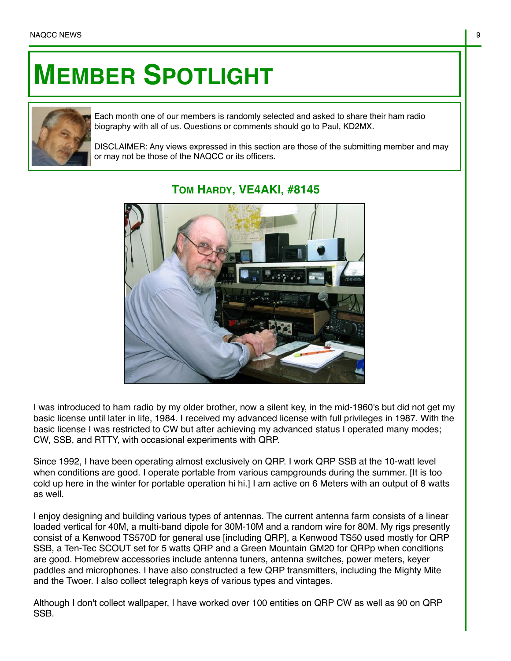## **MEMBER SPOTLIGHT**



Each month one of our members is randomly selected and asked to share their ham radio biography with all of us. Questions or comments should go to Paul, KD2MX.

DISCLAIMER: Any views expressed in this section are those of the submitting member and may or may not be those of the NAQCC or its officers.



## **TOM HARDY, VE4AKI, #8145**

I was introduced to ham radio by my older brother, now a silent key, in the mid-1960's but did not get my basic license until later in life, 1984. I received my advanced license with full privileges in 1987. With the basic license I was restricted to CW but after achieving my advanced status I operated many modes; CW, SSB, and RTTY, with occasional experiments with QRP.

Since 1992, I have been operating almost exclusively on QRP. I work QRP SSB at the 10-watt level when conditions are good. I operate portable from various campgrounds during the summer. [It is too cold up here in the winter for portable operation hi hi.] I am active on 6 Meters with an output of 8 watts as well.

I enjoy designing and building various types of antennas. The current antenna farm consists of a linear loaded vertical for 40M, a multi-band dipole for 30M-10M and a random wire for 80M. My rigs presently consist of a Kenwood TS570D for general use [including QRP], a Kenwood TS50 used mostly for QRP SSB, a Ten-Tec SCOUT set for 5 watts QRP and a Green Mountain GM20 for QRPp when conditions are good. Homebrew accessories include antenna tuners, antenna switches, power meters, keyer paddles and microphones. I have also constructed a few QRP transmitters, including the Mighty Mite and the Twoer. I also collect telegraph keys of various types and vintages.

Although I don't collect wallpaper, I have worked over 100 entities on QRP CW as well as 90 on QRP SSB.